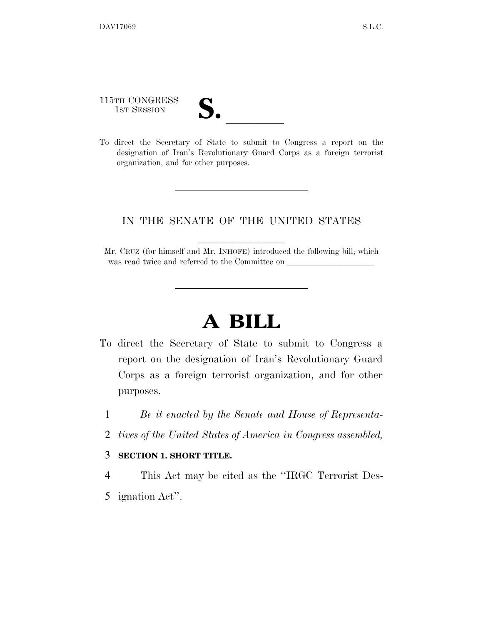115TH CONGRESS

- 115TH CONGRESS<br>
1ST SESSION<br>
To direct the Secretary of State to submit to Congress a report on the
- designation of Iran's Revolutionary Guard Corps as a foreign terrorist organization, and for other purposes.

## IN THE SENATE OF THE UNITED STATES

Mr. CRUZ (for himself and Mr. INHOFE) introduced the following bill; which was read twice and referred to the Committee on

## **A BILL**

- To direct the Secretary of State to submit to Congress a report on the designation of Iran's Revolutionary Guard Corps as a foreign terrorist organization, and for other purposes.
	- 1 *Be it enacted by the Senate and House of Representa-*
	- 2 *tives of the United States of America in Congress assembled,*

## 3 **SECTION 1. SHORT TITLE.**

- 4 This Act may be cited as the ''IRGC Terrorist Des-
- 5 ignation Act''.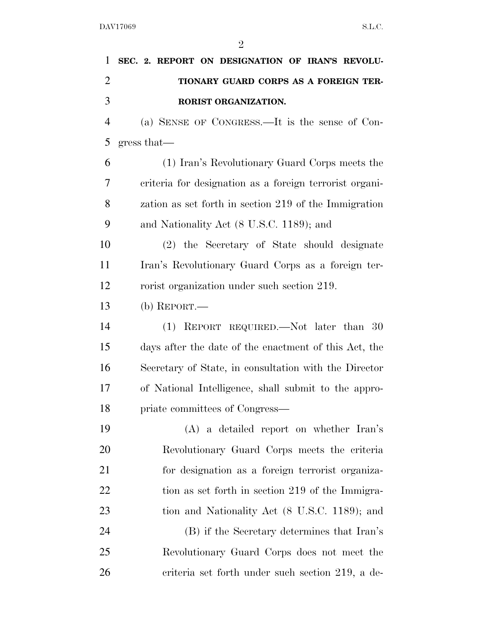$\overline{2}$ 

| 1              | SEC. 2. REPORT ON DESIGNATION OF IRAN'S REVOLU-         |
|----------------|---------------------------------------------------------|
| $\overline{2}$ | TIONARY GUARD CORPS AS A FOREIGN TER-                   |
| 3              | RORIST ORGANIZATION.                                    |
| $\overline{4}$ | (a) SENSE OF CONGRESS.—It is the sense of Con-          |
| 5              | gress that                                              |
| 6              | (1) Iran's Revolutionary Guard Corps meets the          |
| 7              | criteria for designation as a foreign terrorist organi- |
| 8              | zation as set forth in section 219 of the Immigration   |
| 9              | and Nationality Act (8 U.S.C. 1189); and                |
| 10             | (2) the Secretary of State should designate             |
| 11             | Iran's Revolutionary Guard Corps as a foreign ter-      |
| 12             | rorist organization under such section 219.             |
| 13             | (b) REPORT.—                                            |
| 14             | $(1)$ REPORT REQUIRED.—Not later than 30                |
| 15             | days after the date of the enactment of this Act, the   |
| 16             | Secretary of State, in consultation with the Director   |
| 17             | of National Intelligence, shall submit to the appro-    |
| 18             | priate committees of Congress—                          |
| 19             | (A) a detailed report on whether Iran's                 |
| 20             | Revolutionary Guard Corps meets the criteria            |
| 21             | for designation as a foreign terrorist organiza-        |
| 22             | tion as set forth in section 219 of the Immigra-        |
| 23             | tion and Nationality Act (8 U.S.C. 1189); and           |
| 24             | (B) if the Secretary determines that Iran's             |
| 25             | Revolutionary Guard Corps does not meet the             |

criteria set forth under such section 219, a de-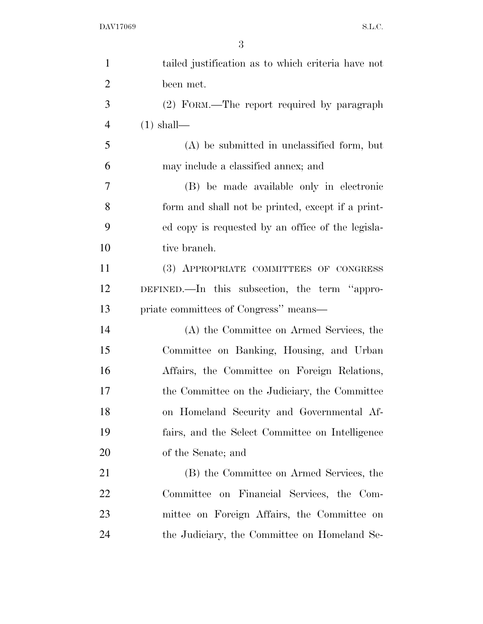| $\mathbf{1}$   | tailed justification as to which criteria have not |
|----------------|----------------------------------------------------|
| $\overline{2}$ | been met.                                          |
| 3              | (2) FORM.—The report required by paragraph         |
| $\overline{4}$ | $(1)$ shall—                                       |
| 5              | $(A)$ be submitted in unclassified form, but       |
| 6              | may include a classified annex; and                |
| 7              | (B) be made available only in electronic           |
| 8              | form and shall not be printed, except if a print-  |
| 9              | ed copy is requested by an office of the legisla-  |
| 10             | tive branch.                                       |
| 11             | (3) APPROPRIATE COMMITTEES OF CONGRESS             |
| 12             | DEFINED.—In this subsection, the term "appro-      |
| 13             | priate committees of Congress" means—              |
| 14             | (A) the Committee on Armed Services, the           |
| 15             | Committee on Banking, Housing, and Urban           |
| 16             | Affairs, the Committee on Foreign Relations,       |
| 17             | the Committee on the Judiciary, the Committee      |
| 18             | on Homeland Security and Governmental Af-          |
| 19             | fairs, and the Select Committee on Intelligence    |
| 20             | of the Senate; and                                 |
| 21             | (B) the Committee on Armed Services, the           |
| 22             | Committee on Financial Services, the Com-          |
|                |                                                    |
| 23             | mittee on Foreign Affairs, the Committee on        |